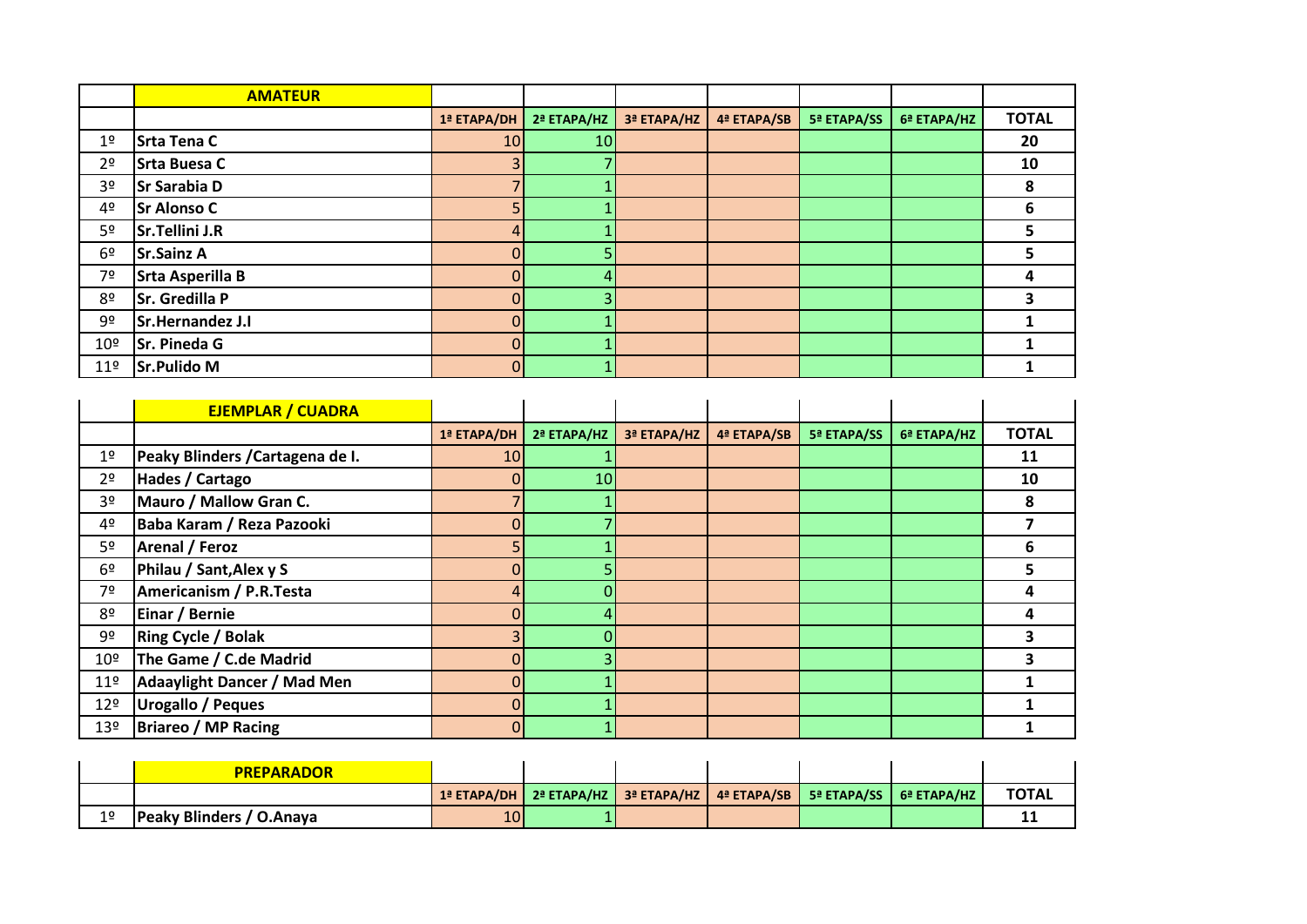|                 | <b>AMATEUR</b>          |                |             |             |             |             |             |              |
|-----------------|-------------------------|----------------|-------------|-------------|-------------|-------------|-------------|--------------|
|                 |                         | 1ª ETAPA/DH    | 2ª ETAPA/HZ | 3ª ETAPA/HZ | 4ª ETAPA/SB | 5ª ETAPA/SS | 6ª ETAPA/HZ | <b>TOTAL</b> |
| 1 <sup>°</sup>  | Srta Tena C             | 10             | 10          |             |             |             |             | 20           |
| 2 <sup>o</sup>  | <b>Srta Buesa C</b>     |                |             |             |             |             |             | 10           |
| 3º              | <b>Sr Sarabia D</b>     |                |             |             |             |             |             | 8            |
| 4 <sup>o</sup>  | <b>Sr Alonso C</b>      |                |             |             |             |             |             | 6            |
| 5º              | Sr.Tellini J.R          | 4              |             |             |             |             |             | э            |
| 6 <sup>°</sup>  | <b>Sr.Sainz A</b>       |                |             |             |             |             |             | э.           |
| 7º              | <b>Srta Asperilla B</b> |                |             |             |             |             |             | 4            |
| 8º              | <b>Sr. Gredilla P</b>   | $\Omega$       |             |             |             |             |             |              |
| 9º              | Sr.Hernandez J.I        | $\Omega$       |             |             |             |             |             |              |
| 10 <sup>°</sup> | Sr. Pineda G            | $\overline{0}$ |             |             |             |             |             |              |
| 11 <sup>°</sup> | <b>Sr.Pulido M</b>      | 01             |             |             |             |             |             |              |

|                 | <b>EJEMPLAR / CUADRA</b>           |             |             |             |             |             |             |              |
|-----------------|------------------------------------|-------------|-------------|-------------|-------------|-------------|-------------|--------------|
|                 |                                    | 1ª ETAPA/DH | 2ª ETAPA/HZ | 3ª ETAPA/HZ | 4ª ETAPA/SB | 5ª ETAPA/SS | 6ª ETAPA/HZ | <b>TOTAL</b> |
| 1º              | Peaky Blinders / Cartagena de I.   | 10          |             |             |             |             |             | 11           |
| 2 <sup>o</sup>  | Hades / Cartago                    | 0           | 10          |             |             |             |             | 10           |
| 3º              | Mauro / Mallow Gran C.             |             |             |             |             |             |             | Զ            |
| 4º              | Baba Karam / Reza Pazooki          |             |             |             |             |             |             |              |
| 5º              | Arenal / Feroz                     |             |             |             |             |             |             | 6            |
| 6 <sup>9</sup>  | Philau / Sant, Alex y S            |             |             |             |             |             |             | ר            |
| 7º              | <b>Americanism / P.R.Testa</b>     |             |             |             |             |             |             |              |
| 8º              | Einar / Bernie                     |             |             |             |             |             |             | 4            |
| 9º              | <b>Ring Cycle / Bolak</b>          |             |             |             |             |             |             |              |
| 10 <sup>°</sup> | The Game / C.de Madrid             |             |             |             |             |             |             |              |
| 11 <sup>°</sup> | <b>Adaaylight Dancer / Mad Men</b> | $\Omega$    |             |             |             |             |             |              |
| 12º             | <b>Urogallo / Peques</b>           |             |             |             |             |             |             |              |
| 13º             | <b>Briareo / MP Racing</b>         | $\Omega$    |             |             |             |             |             |              |

|                | <b>PREPARADOR</b>        |     |                                                                                          |  |              |
|----------------|--------------------------|-----|------------------------------------------------------------------------------------------|--|--------------|
|                |                          |     | <b>1ª ЕТАРА/DH   2ª ЕТАРА/HZ   3ª ЕТАРА/HZ   4ª ЕТАРА/SB   5ª ЕТАРА/SS   6ª ЕТАРА/HZ</b> |  | <b>TOTAL</b> |
| 1 <sup>°</sup> | Peaky Blinders / O.Anaya | 101 |                                                                                          |  |              |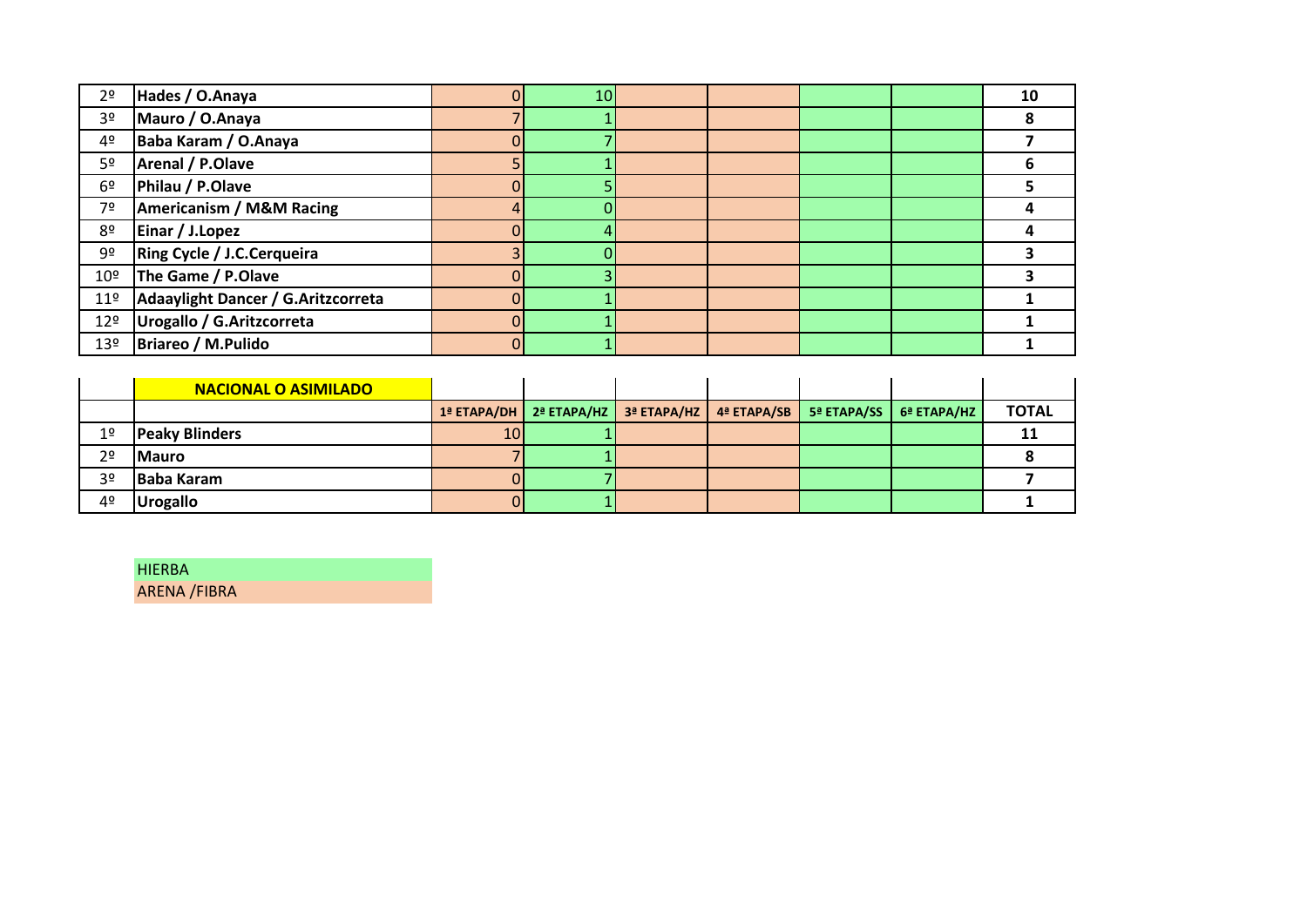| 2 <sup>o</sup>  | Hades / O.Anaya                     | 10 |  |  | 10 |
|-----------------|-------------------------------------|----|--|--|----|
| 3º              | Mauro / O.Anaya                     |    |  |  |    |
| 4º              | Baba Karam / O.Anaya                |    |  |  |    |
| 5º              | Arenal / P.Olave                    |    |  |  |    |
| 6 <sup>°</sup>  | Philau / P.Olave                    |    |  |  |    |
| 7º              | <b>Americanism / M&amp;M Racing</b> |    |  |  |    |
| 8º              | Einar / J.Lopez                     |    |  |  |    |
| 9º              | <b>Ring Cycle / J.C.Cerqueira</b>   |    |  |  |    |
| 10 <sup>°</sup> | The Game / P.Olave                  |    |  |  |    |
| 11 <sup>°</sup> | Adaaylight Dancer / G.Aritzcorreta  |    |  |  |    |
| 12 <sup>°</sup> | Urogallo / G.Aritzcorreta           |    |  |  |    |
| 13 <sup>°</sup> | Briareo / M.Pulido                  |    |  |  |    |

|                | <b>NACIONAL O ASIMILADO</b> |                 |                                                                                                                   |  |                             |              |
|----------------|-----------------------------|-----------------|-------------------------------------------------------------------------------------------------------------------|--|-----------------------------|--------------|
|                |                             |                 | $1^{\frac{3}{2}}$ ETAPA/DH   $2^{\frac{3}{2}}$ ETAPA/HZ   $3^{\frac{3}{2}}$ ETAPA/HZ   $4^{\frac{3}{2}}$ ETAPA/SB |  | $5a$ ETAPA/SS $6a$ ETAPA/HZ | <b>TOTAL</b> |
| 1 <sup>°</sup> | <b>Peaky Blinders</b>       | 10 <sub>1</sub> |                                                                                                                   |  |                             |              |
| 2 <sup>o</sup> | <b>IMauro</b>               |                 |                                                                                                                   |  |                             |              |
| 3 <sup>o</sup> | <b>IBaba Karam</b>          |                 |                                                                                                                   |  |                             |              |
| 42             | <b>Urogallo</b>             |                 |                                                                                                                   |  |                             |              |

HIERBA

ARENA /FIBRA